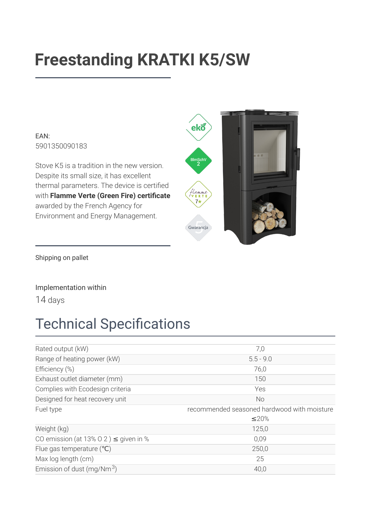# **Freestanding KRATKI K5/SW**

EAN: 5901350090183

Stove K5 is a tradition in the new version. Despite its small size, it has excellent thermal parameters. The device is certified with Flamme Verte (Green Fire) certificate awarded by the French Agency for Environment and Energy Management.



Shipping on pallet

Implementation within

14 days

## **Technical Specifications**

| Rated output (kW)                          | 7,0                                         |
|--------------------------------------------|---------------------------------------------|
| Range of heating power (kW)                | $5.5 - 9.0$                                 |
| Efficiency (%)                             | 76,0                                        |
| Exhaust outlet diameter (mm)               | 150                                         |
| Complies with Ecodesign criteria           | Yes                                         |
| Designed for heat recovery unit            | <b>No</b>                                   |
| Fuel type                                  | recommended seasoned hardwood with moisture |
|                                            | $\leq$ 20%                                  |
| Weight (kg)                                | 125,0                                       |
| CO emission (at 13% O 2) $\leq$ given in % | 0,09                                        |
|                                            |                                             |
| Flue gas temperature $(°C)$                | 250,0                                       |
| Max log length (cm)                        | 25                                          |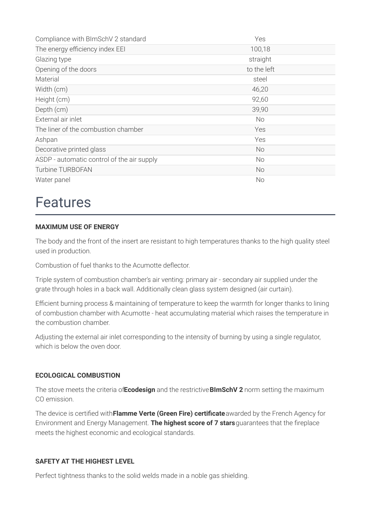| Compliance with BImSchV 2 standard         | Yes         |
|--------------------------------------------|-------------|
| The energy efficiency index EEI            | 100,18      |
| Glazing type                               | straight    |
| Opening of the doors                       | to the left |
| Material                                   | steel       |
| Width (cm)                                 | 46,20       |
| Height (cm)                                | 92,60       |
| Depth (cm)                                 | 39,90       |
| External air inlet                         | No.         |
| The liner of the combustion chamber        | Yes         |
| Ashpan                                     | Yes         |
| Decorative printed glass                   | <b>No</b>   |
| ASDP - automatic control of the air supply | No          |
| Turbine TURBOFAN                           | <b>No</b>   |
| Water panel                                | No          |

### **Features**

#### **MAXIMUM USE OF ENERGY**

The body and the front of the insert are resistant to high temperatures thanks to the high quality steel used in production.

Combustion of fuel thanks to the Acumotte deflector.

Triple system of combustion chamber's air venting: primary air - secondary air supplied under the grate through holes in a back wall. Additionally clean glass system designed (air curtain).

Efficient burning process & maintaining of temperature to keep the warmth for longer thanks to lining of combustion chamber with Acumotte - heat accumulating material which raises the temperature in the combustion chamber.

Adjusting the external air inlet corresponding to the intensity of burning by using a single regulator, which is helow the oven door

#### **ECOLOGICAL COMBUSTION**

The stove meets the criteria of Ecodesign and the restrictive BImSchV 2 norm setting the maximum CO emission

The device is certified with Flamme Verte (Green Fire) certificate awarded by the French Agency for Environment and Energy Management. The highest score of 7 stars guarantees that the fireplace meets the highest economic and ecological standards.

#### **SAFETY AT THE HIGHEST LEVEL**

Perfect tightness thanks to the solid welds made in a noble gas shielding.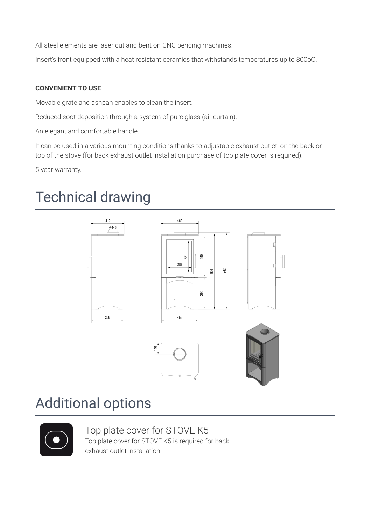All steel elements are laser cut and bent on CNC bending machines.

Insert's front equipped with a heat resistant ceramics that withstands temperatures up to 800oC.

#### **CONVENIENT TO USE**

Movable grate and ashpan enables to clean the insert.

Reduced soot deposition through a system of pure glass (air curtain).

An elegant and comfortable handle.

It can be used in a various mounting conditions thanks to adjustable exhaust outlet: on the back or top of the stove (for back exhaust outlet installation purchase of top plate cover is required).

5 year warranty.

# **Technical drawing**



### **Additional options**



Top plate cover for STOVE K5 Top plate cover for STOVE K5 is required for back exhaust outlet installation.